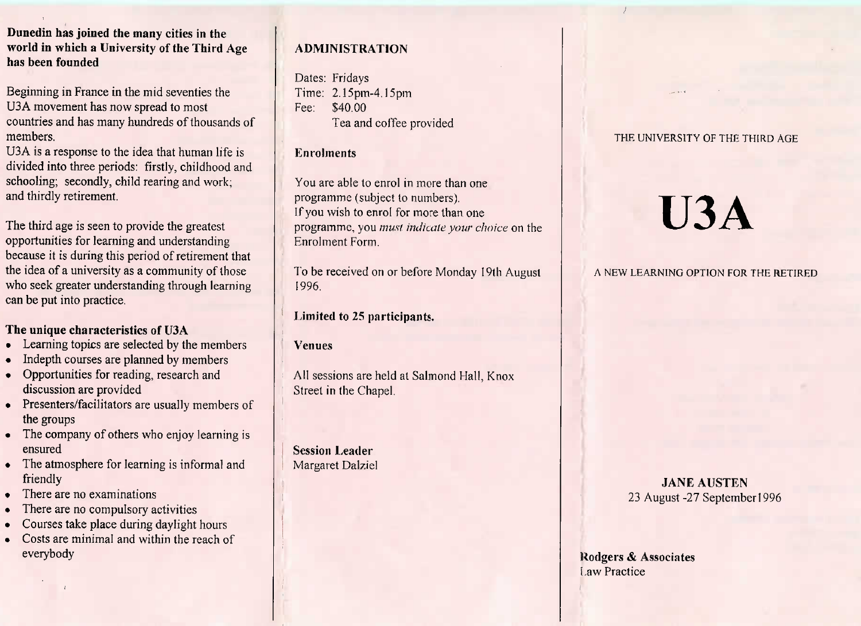#### **Dunedin has joined the many cities in the world in which a University of the Third Agehas been founded**

Beginning in France in the mid seventies theU3A movement has now spread to most countries and has many hundreds of thousands ofmembers.

 U3A is a response to the idea that human life is divided into three periods: firstly, childhood andschooling; secondly, child rearing and work;and thirdly retirement.

The third age is seen to provide the greatest opportunities for learning and understanding because it is during this period of retirement thatthe idea of a university as a community of those who seek greater understanding through learningcan be put into practice.

# **The unique characteristics of IJ3A**

- Learning topics are selected by the members
- Indepth courses are planned by members
- Opportunities for reading, research anddiscussion are provided
- Presenters/facilitators are usually members of the groups
- The company of others who enjoy learning isensured
- I he atmosphere for learning is informal and friendly
- Inere are no examinations
- There are no compulsory activities
- Courses take place during daylight hours
- Costs are minimal and within the reach ofeverybody

### **ADMINISTRATION**

Dates: Fridays Time: 2.15pm-4.15pmFee: \$40.00Tea and coffee provided

#### **Enrolments**

You are able to enrol in more than oneprogramme (subject to numbers). If you wish to enrol for more than one programme, you *must indicate vow choice* on theEnrolment Form.

To be received on or before Monday 19th August1996.

# **Limited to** 25 **participants.**

**Venues**

All sessions are held at Salmond Hall, KnoxStreet in the Chapel.

**Session Leader**Margaret Dalziel

#### THE UNIVERSITY OF THE THIRD AGE

# **U3A**

#### A NEW LEARNING OPTION FOR THE RETIRED

**JANE AUSTEN**23 August -27 September 1996

**Uodgers** *&* **Associates**Law Practice